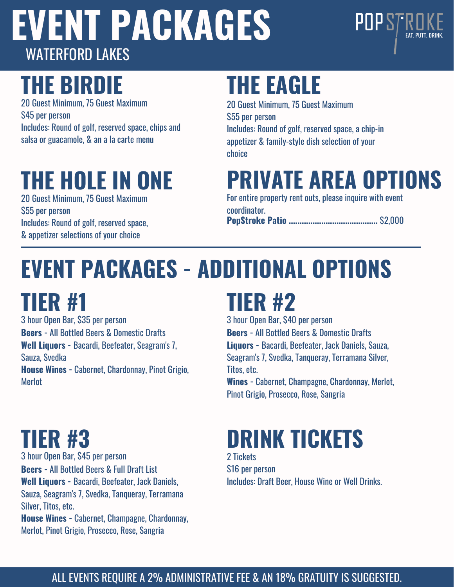

## **THE BIRDIE**

20 Guest Minimum, 75 Guest Maximum \$45 per person Includes: Round of golf, reserved space, chips and salsa or guacamole, & an a la carte menu

### **THE HOLE IN ONE**

20 Guest Minimum, 75 Guest Maximum \$55 per person Includes: Round of golf, reserved space, & appetizer selections of your choice

## **THE EAGLE**

20 Guest Minimum, 75 Guest Maximum \$55 per person Includes: Round of golf, reserved space, a chip-in appetizer & family-style dish selection of your choice

## **PRIVATE AREA OPTIONS**

For entire property rent outs, please inquire with event coordinator.

**PopStroke Patio .........................................** \$2,000

# **EVENT PACKAGES - ADDITIONAL OPTIONS**

**TIER #1**

3 hour Open Bar, \$35 per person **Beers -** All Bottled Beers & Domestic Drafts **Well Liquors -** Bacardi, Beefeater, Seagram's 7, Sauza, Svedka **House Wines -** Cabernet, Chardonnay, Pinot Grigio, **Merlot** 

## **TIER #2**

3 hour Open Bar, \$40 per person **Beers -** All Bottled Beers & Domestic Drafts **Liquors -** Bacardi, Beefeater, Jack Daniels, Sauza, Seagram's 7, Svedka, Tanqueray, Terramana Silver, Titos, etc. **Wines -** Cabernet, Champagne, Chardonnay, Merlot,

Pinot Grigio, Prosecco, Rose, Sangria

## **TIER #3**

3 hour Open Bar, \$45 per person **Beers -** All Bottled Beers & Full Draft List **Well Liquors -** Bacardi, Beefeater, Jack Daniels, Sauza, Seagram's 7, Svedka, Tanqueray, Terramana Silver, Titos, etc. **House Wines -** Cabernet, Champagne, Chardonnay,

Merlot, Pinot Grigio, Prosecco, Rose, Sangria

## **DRINK TICKETS**

2 Tickets \$16 per person Includes: Draft Beer, House Wine or Well Drinks.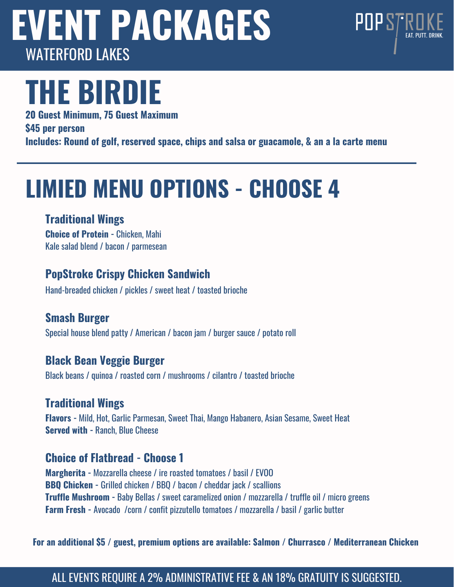

# **THE BIRDIE**

**20 Guest Minimum, 75 Guest Maximum \$45 per person Includes: Round of golf, reserved space, chips and salsa or guacamole, & an a la carte menu**

## **LIMIED MENU OPTIONS - CHOOSE 4**

### **Traditional Wings**

**Choice of Protein -** Chicken, Mahi Kale salad blend / bacon / parmesean

### **PopStroke Crispy Chicken Sandwich**

Hand-breaded chicken / pickles / sweet heat / toasted brioche

### **Smash Burger**

Special house blend patty / American / bacon jam / burger sauce / potato roll

### **Black Bean Veggie Burger**

Black beans / quinoa / roasted corn / mushrooms / cilantro / toasted brioche

### **Traditional Wings**

**Flavors -** Mild, Hot, Garlic Parmesan, Sweet Thai, Mango Habanero, Asian Sesame, Sweet Heat **Served with -** Ranch, Blue Cheese

### **Choice of Flatbread - Choose 1**

**Margherita -** Mozzarella cheese / ire roasted tomatoes / basil / EVOO **BBQ Chicken -** Grilled chicken / BBQ / bacon / cheddar jack / scallions **Truffle Mushroom -** Baby Bellas / sweet caramelized onion / mozzarella / truffle oil / micro greens **Farm Fresh -** Avocado /corn / confit pizzutello tomatoes / mozzarella / basil / garlic butter

**For an additional \$5 / guest, premium options are available: Salmon / Churrasco / Mediterranean Chicken**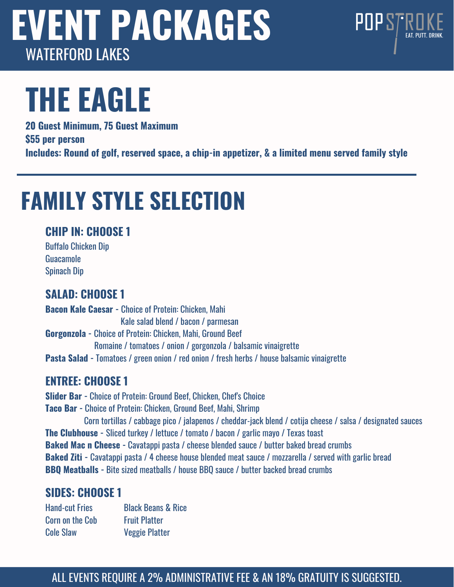# **THE EAGLE**

**20 Guest Minimum, 75 Guest Maximum \$55 per person Includes: Round of golf, reserved space, a chip-in appetizer, & a limited menu served family style**

POPSTR

## **FAMILY STYLE SELECTION**

### **CHIP IN: CHOOSE 1**

Buffalo Chicken Dip **Guacamole** Spinach Dip

### **SALAD: CHOOSE 1**

**Bacon Kale Caesar -** Choice of Protein: Chicken, Mahi Kale salad blend / bacon / parmesan **Gorgonzola -** Choice of Protein: Chicken, Mahi, Ground Beef Romaine / tomatoes / onion / gorgonzola / balsamic vinaigrette **Pasta Salad -** Tomatoes / green onion / red onion / fresh herbs / house balsamic vinaigrette

### **ENTREE: CHOOSE 1**

**Slider Bar -** Choice of Protein: Ground Beef, Chicken, Chef's Choice **Taco Bar -** Choice of Protein: Chicken, Ground Beef, Mahi, Shrimp Corn tortillas / cabbage pico / jalapenos / cheddar-jack blend / cotija cheese / salsa / designated sauces **The Clubhouse -** Sliced turkey / lettuce / tomato / bacon / garlic mayo / Texas toast **Baked Mac n Cheese -** Cavatappi pasta / cheese blended sauce / butter baked bread crumbs **Baked Ziti -** Cavatappi pasta / 4 cheese house blended meat sauce / mozzarella / served with garlic bread **BBQ Meatballs -** Bite sized meatballs / house BBQ sauce / butter backed bread crumbs

### **SIDES: CHOOSE 1**

Hand-cut Fries Corn on the Cob Cole Slaw Black Beans & Rice Fruit Platter Veggie Platter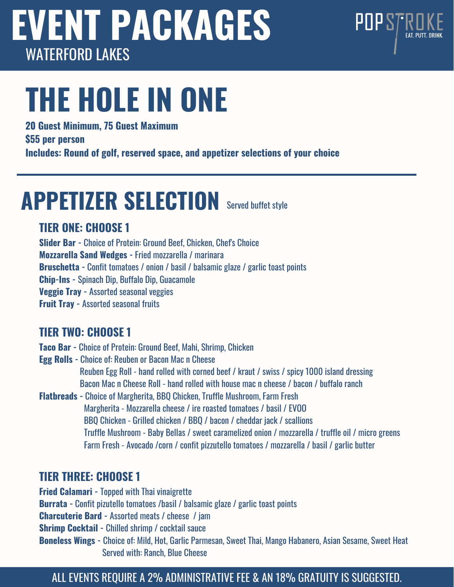# **THE HOLE IN ONE**

**20 Guest Minimum, 75 Guest Maximum**

**\$55 per person**

**Includes: Round of golf, reserved space, and appetizer selections of your choice**

POPSTR

## **APPETIZER SELECTION** Served buffet style

### **TIER ONE: CHOOSE 1**

**Slider Bar -** Choice of Protein: Ground Beef, Chicken, Chef's Choice **Mozzarella Sand Wedges -** Fried mozzarella / marinara **Bruschetta -** Confit tomatoes / onion / basil / balsamic glaze / garlic toast points **Chip-Ins -** Spinach Dip, Buffalo Dip, Guacamole **Veggie Tray -** Assorted seasonal veggies **Fruit Tray -** Assorted seasonal fruits

### **TIER TWO: CHOOSE 1**

**Taco Bar -** Choice of Protein: Ground Beef, Mahi, Shrimp, Chicken

**Egg Rolls -** Choice of: Reuben or Bacon Mac n Cheese Reuben Egg Roll - hand rolled with corned beef / kraut / swiss / spicy 1000 island dressing Bacon Mac n Cheese Roll - hand rolled with house mac n cheese / bacon / buffalo ranch

**Flatbreads -** Choice of Margherita, BBQ Chicken, Truffle Mushroom, Farm Fresh Margherita - Mozzarella cheese / ire roasted tomatoes / basil / EVOO BBQ Chicken - Grilled chicken / BBQ / bacon / cheddar jack / scallions Truffle Mushroom - Baby Bellas / sweet caramelized onion / mozzarella / truffle oil / micro greens Farm Fresh - Avocado /corn / confit pizzutello tomatoes / mozzarella / basil / garlic butter

### **TIER THREE: CHOOSE 1**

**Fried Calamari -** Topped with Thai vinaigrette **Burrata -** Confit pizutello tomatoes /basil / balsamic glaze / garlic toast points **Charcuterie Bard -** Assorted meats / cheese / jam **Shrimp Cocktail -** Chilled shrimp / cocktail sauce **Boneless Wings -** Choice of: Mild, Hot, Garlic Parmesan, Sweet Thai, Mango Habanero, Asian Sesame, Sweet Heat Served with: Ranch, Blue Cheese